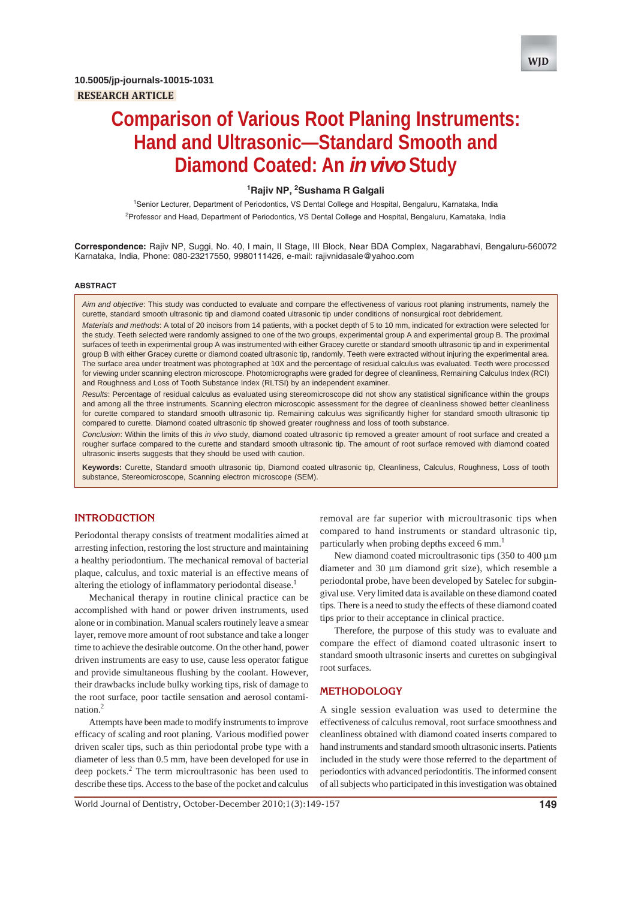

# **1 Rajiv NP, 2 Sushama R Galgali**

<sup>1</sup>Senior Lecturer, Department of Periodontics, VS Dental College and Hospital, Bengaluru, Karnataka, India 2 Professor and Head, Department of Periodontics, VS Dental College and Hospital, Bengaluru, Karnataka, India

**Correspondence:** Rajiv NP, Suggi, No. 40, I main, II Stage, III Block, Near BDA Complex, Nagarabhavi, Bengaluru-560072 Karnataka, India, Phone: 080-23217550, 9980111426, e-mail: rajivnidasale@yahoo.com

#### **ABSTRACT**

*Aim and objective*: This study was conducted to evaluate and compare the effectiveness of various root planing instruments, namely the curette, standard smooth ultrasonic tip and diamond coated ultrasonic tip under conditions of nonsurgical root debridement.

*Materials and methods*: A total of 20 incisors from 14 patients, with a pocket depth of 5 to 10 mm, indicated for extraction were selected for the study. Teeth selected were randomly assigned to one of the two groups, experimental group A and experimental group B. The proximal surfaces of teeth in experimental group A was instrumented with either Gracey curette or standard smooth ultrasonic tip and in experimental group B with either Gracey curette or diamond coated ultrasonic tip, randomly. Teeth were extracted without injuring the experimental area. The surface area under treatment was photographed at 10X and the percentage of residual calculus was evaluated. Teeth were processed for viewing under scanning electron microscope. Photomicrographs were graded for degree of cleanliness, Remaining Calculus Index (RCI) and Roughness and Loss of Tooth Substance Index (RLTSI) by an independent examiner.

*Results*: Percentage of residual calculus as evaluated using stereomicroscope did not show any statistical significance within the groups and among all the three instruments. Scanning electron microscopic assessment for the degree of cleanliness showed better cleanliness for curette compared to standard smooth ultrasonic tip. Remaining calculus was significantly higher for standard smooth ultrasonic tip compared to curette. Diamond coated ultrasonic tip showed greater roughness and loss of tooth substance.

*Conclusion*: Within the limits of this *in vivo* study, diamond coated ultrasonic tip removed a greater amount of root surface and created a rougher surface compared to the curette and standard smooth ultrasonic tip. The amount of root surface removed with diamond coated ultrasonic inserts suggests that they should be used with caution.

**Keywords:** Curette, Standard smooth ultrasonic tip, Diamond coated ultrasonic tip, Cleanliness, Calculus, Roughness, Loss of tooth substance, Stereomicroscope, Scanning electron microscope (SEM).

# **INTRODUCTION**

Periodontal therapy consists of treatment modalities aimed at arresting infection, restoring the lost structure and maintaining a healthy periodontium. The mechanical removal of bacterial plaque, calculus, and toxic material is an effective means of altering the etiology of inflammatory periodontal disease.<sup>1</sup>

Mechanical therapy in routine clinical practice can be accomplished with hand or power driven instruments, used alone or in combination. Manual scalers routinely leave a smear layer, remove more amount of root substance and take a longer time to achieve the desirable outcome. On the other hand, power driven instruments are easy to use, cause less operator fatigue and provide simultaneous flushing by the coolant. However, their drawbacks include bulky working tips, risk of damage to the root surface, poor tactile sensation and aerosol contamination $^2$ 

Attempts have been made to modify instruments to improve efficacy of scaling and root planing. Various modified power driven scaler tips, such as thin periodontal probe type with a diameter of less than 0.5 mm, have been developed for use in deep pockets.<sup>2</sup> The term microultrasonic has been used to describe these tips. Access to the base of the pocket and calculus removal are far superior with microultrasonic tips when compared to hand instruments or standard ultrasonic tip, particularly when probing depths exceed 6 mm.<sup>1</sup>

New diamond coated microultrasonic tips (350 to 400 μm diameter and 30 μm diamond grit size), which resemble a periodontal probe, have been developed by Satelec for subgingival use. Very limited data is available on these diamond coated tips. There is a need to study the effects of these diamond coated tips prior to their acceptance in clinical practice.

Therefore, the purpose of this study was to evaluate and compare the effect of diamond coated ultrasonic insert to standard smooth ultrasonic inserts and curettes on subgingival root surfaces.

# **METHODOLOGY**

A single session evaluation was used to determine the effectiveness of calculus removal, root surface smoothness and cleanliness obtained with diamond coated inserts compared to hand instruments and standard smooth ultrasonic inserts. Patients included in the study were those referred to the department of periodontics with advanced periodontitis. The informed consent of all subjects who participated in this investigation was obtained

World Journal of Dentistry, October-December 2010;1(3):149-157 **149**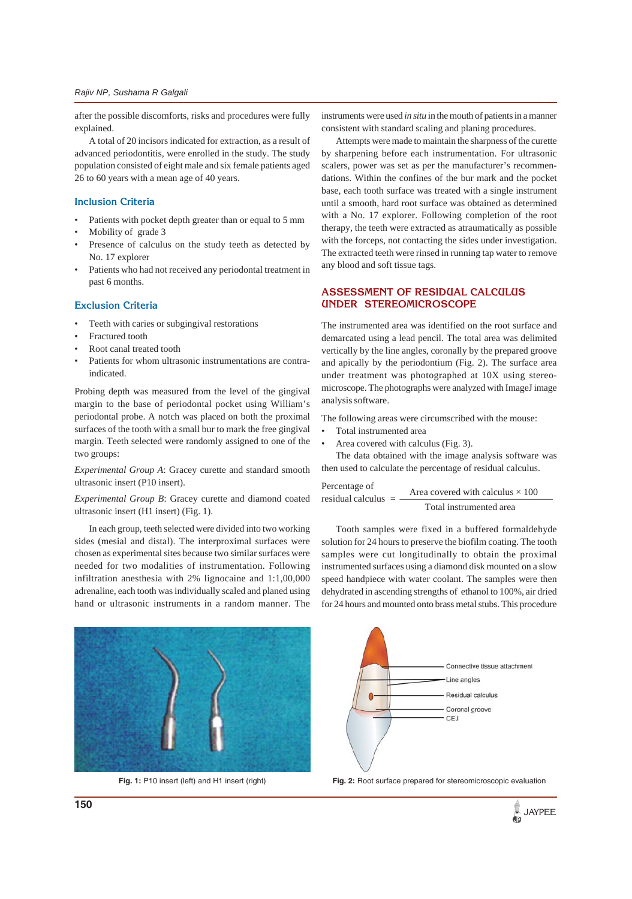after the possible discomforts, risks and procedures were fully explained.

A total of 20 incisors indicated for extraction, as a result of advanced periodontitis, were enrolled in the study. The study population consisted of eight male and six female patients aged 26 to 60 years with a mean age of 40 years.

# **Inclusion Criteria**

- Patients with pocket depth greater than or equal to 5 mm
- Mobility of grade 3
- Presence of calculus on the study teeth as detected by No. 17 explorer
- Patients who had not received any periodontal treatment in past 6 months.

#### **Exclusion Criteria**

- Teeth with caries or subgingival restorations
- Fractured tooth
- Root canal treated tooth
- Patients for whom ultrasonic instrumentations are contraindicated.

Probing depth was measured from the level of the gingival margin to the base of periodontal pocket using William's periodontal probe. A notch was placed on both the proximal surfaces of the tooth with a small bur to mark the free gingival margin. Teeth selected were randomly assigned to one of the two groups:

*Experimental Group A*: Gracey curette and standard smooth ultrasonic insert (P10 insert).

#### *Experimental Group B*: Gracey curette and diamond coated ultrasonic insert (H1 insert) (Fig. 1).

In each group, teeth selected were divided into two working sides (mesial and distal). The interproximal surfaces were chosen as experimental sites because two similar surfaces were needed for two modalities of instrumentation. Following infiltration anesthesia with 2% lignocaine and 1:1,00,000 adrenaline, each tooth was individually scaled and planed using hand or ultrasonic instruments in a random manner. The

instruments were used *in situ* in the mouth of patients in a manner consistent with standard scaling and planing procedures.

Attempts were made to maintain the sharpness of the curette by sharpening before each instrumentation. For ultrasonic scalers, power was set as per the manufacturer's recommendations. Within the confines of the bur mark and the pocket base, each tooth surface was treated with a single instrument until a smooth, hard root surface was obtained as determined with a No. 17 explorer. Following completion of the root therapy, the teeth were extracted as atraumatically as possible with the forceps, not contacting the sides under investigation. The extracted teeth were rinsed in running tap water to remove any blood and soft tissue tags.

# **ASSESSMENT OF RESIDUAL CALCULUS UNDER STEREOMICROSCOPE**

The instrumented area was identified on the root surface and demarcated using a lead pencil. The total area was delimited vertically by the line angles, coronally by the prepared groove and apically by the periodontium (Fig. 2). The surface area under treatment was photographed at 10X using stereomicroscope. The photographs were analyzed with ImageJ image analysis software.

The following areas were circumscribed with the mouse:

- Total instrumented area
- Area covered with calculus (Fig. 3).

The data obtained with the image analysis software was then used to calculate the percentage of residual calculus.

Percentage of  
residual calculus = 
$$
\frac{\text{Area covered with calculus} \times 100}{\text{Total instrumented area}}
$$

Tooth samples were fixed in a buffered formaldehyde solution for 24 hours to preserve the biofilm coating. The tooth samples were cut longitudinally to obtain the proximal instrumented surfaces using a diamond disk mounted on a slow speed handpiece with water coolant. The samples were then dehydrated in ascending strengths of ethanol to 100%, air dried for 24 hours and mounted onto brass metal stubs. This procedure





**Fig. 1:** P10 insert (left) and H1 insert (right) **Fig. 2:** Root surface prepared for stereomicroscopic evaluation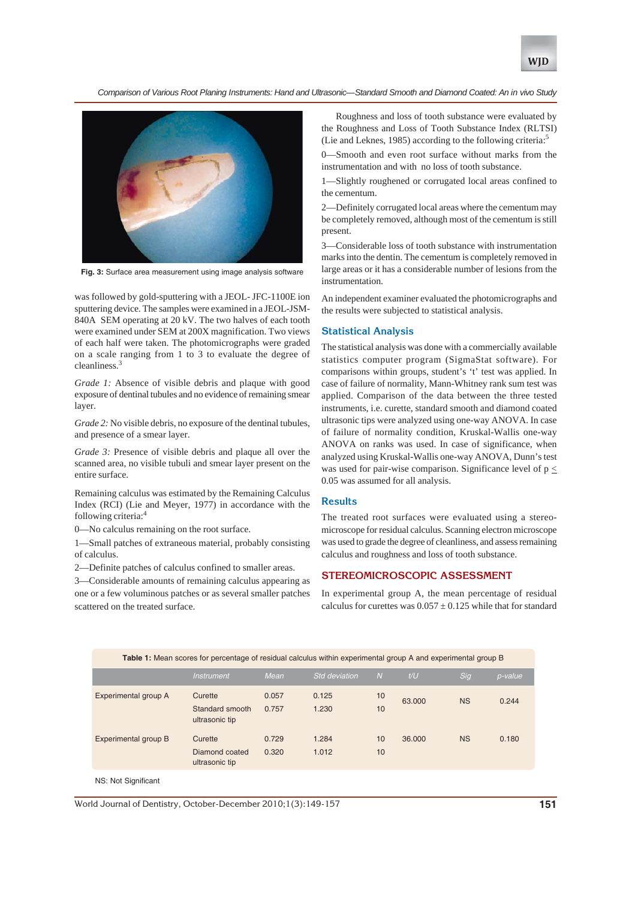



**Fig. 3:** Surface area measurement using image analysis software

was followed by gold-sputtering with a JEOL- JFC-1100E ion sputtering device. The samples were examined in a JEOL-JSM-840A SEM operating at 20 kV. The two halves of each tooth were examined under SEM at 200X magnification. Two views of each half were taken. The photomicrographs were graded on a scale ranging from 1 to 3 to evaluate the degree of cleanliness.<sup>3</sup>

*Grade 1:* Absence of visible debris and plaque with good exposure of dentinal tubules and no evidence of remaining smear layer.

*Grade 2:* No visible debris, no exposure of the dentinal tubules, and presence of a smear layer.

*Grade 3:* Presence of visible debris and plaque all over the scanned area, no visible tubuli and smear layer present on the entire surface.

Remaining calculus was estimated by the Remaining Calculus Index (RCI) (Lie and Meyer, 1977) in accordance with the following criteria:4

0—No calculus remaining on the root surface.

1—Small patches of extraneous material, probably consisting of calculus.

2—Definite patches of calculus confined to smaller areas.

3—Considerable amounts of remaining calculus appearing as one or a few voluminous patches or as several smaller patches scattered on the treated surface.

Roughness and loss of tooth substance were evaluated by the Roughness and Loss of Tooth Substance Index (RLTSI) (Lie and Leknes, 1985) according to the following criteria:<sup>5</sup>

-Smooth and even root surface without marks from the instrumentation and with no loss of tooth substance.

1—Slightly roughened or corrugated local areas confined to the cementum.

2—Definitely corrugated local areas where the cementum may be completely removed, although most of the cementum is still present.

3—Considerable loss of tooth substance with instrumentation marks into the dentin. The cementum is completely removed in large areas or it has a considerable number of lesions from the instrumentation.

An independent examiner evaluated the photomicrographs and the results were subjected to statistical analysis.

#### **Statistical Analysis**

The statistical analysis was done with a commercially available statistics computer program (SigmaStat software). For comparisons within groups, student's 't' test was applied. In case of failure of normality, Mann-Whitney rank sum test was applied. Comparison of the data between the three tested instruments, i.e. curette, standard smooth and diamond coated ultrasonic tips were analyzed using one-way ANOVA. In case of failure of normality condition, Kruskal-Wallis one-way ANOVA on ranks was used. In case of significance, when analyzed using Kruskal-Wallis one-way ANOVA, Dunn's test was used for pair-wise comparison. Significance level of  $p \leq$ 0.05 was assumed for all analysis.

#### **Results**

The treated root surfaces were evaluated using a stereomicroscope for residual calculus. Scanning electron microscope was used to grade the degree of cleanliness, and assess remaining calculus and roughness and loss of tooth substance.

### **STEREOMICROSCOPIC ASSESSMENT**

In experimental group A, the mean percentage of residual calculus for curettes was  $0.057 \pm 0.125$  while that for standard

| Table 1: Mean scores for percentage of residual calculus within experimental group A and experimental group B |                                              |                |                      |          |        |           |         |  |
|---------------------------------------------------------------------------------------------------------------|----------------------------------------------|----------------|----------------------|----------|--------|-----------|---------|--|
|                                                                                                               | <i><b>Instrument</b></i>                     | Mean           | <b>Std deviation</b> | N        | t/U    | Sig       | p-value |  |
| Experimental group A                                                                                          | Curette<br>Standard smooth<br>ultrasonic tip | 0.057<br>0.757 | 0.125<br>1.230       | 10<br>10 | 63,000 | <b>NS</b> | 0.244   |  |
| Experimental group B                                                                                          | Curette<br>Diamond coated<br>ultrasonic tip  | 0.729<br>0.320 | 1.284<br>1.012       | 10<br>10 | 36,000 | <b>NS</b> | 0.180   |  |

NS: Not Significant

World Journal of Dentistry, October-December 2010;1(3):149-157 **151**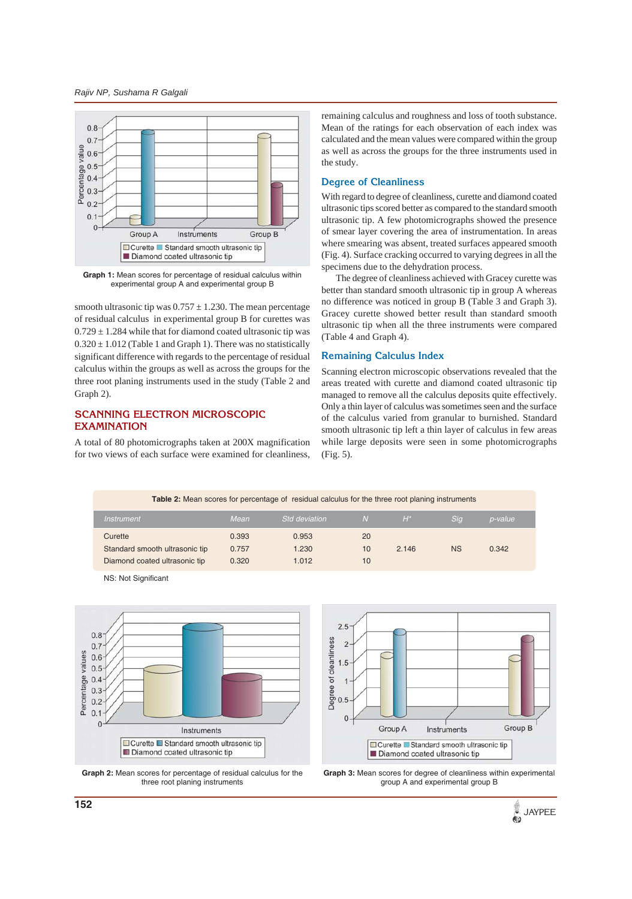*Rajiv NP, Sushama R Galgali*



**Graph 1:** Mean scores for percentage of residual calculus within experimental group A and experimental group B

smooth ultrasonic tip was  $0.757 \pm 1.230$ . The mean percentage of residual calculus in experimental group B for curettes was  $0.729 \pm 1.284$  while that for diamond coated ultrasonic tip was  $0.320 \pm 1.012$  (Table 1 and Graph 1). There was no statistically significant difference with regards to the percentage of residual calculus within the groups as well as across the groups for the three root planing instruments used in the study (Table 2 and Graph 2).

# **SCANNING ELECTRON MICROSCOPIC EXAMINATION**

A total of 80 photomicrographs taken at 200X magnification for two views of each surface were examined for cleanliness,

remaining calculus and roughness and loss of tooth substance. Mean of the ratings for each observation of each index was calculated and the mean values were compared within the group as well as across the groups for the three instruments used in the study.

#### **Degree of Cleanliness**

With regard to degree of cleanliness, curette and diamond coated ultrasonic tips scored better as compared to the standard smooth ultrasonic tip. A few photomicrographs showed the presence of smear layer covering the area of instrumentation. In areas where smearing was absent, treated surfaces appeared smooth (Fig. 4). Surface cracking occurred to varying degrees in all the specimens due to the dehydration process.

The degree of cleanliness achieved with Gracey curette was better than standard smooth ultrasonic tip in group A whereas no difference was noticed in group B (Table 3 and Graph 3). Gracey curette showed better result than standard smooth ultrasonic tip when all the three instruments were compared (Table 4 and Graph 4).

#### **Remaining Calculus Index**

Scanning electron microscopic observations revealed that the areas treated with curette and diamond coated ultrasonic tip managed to remove all the calculus deposits quite effectively. Only a thin layer of calculus was sometimes seen and the surface of the calculus varied from granular to burnished. Standard smooth ultrasonic tip left a thin layer of calculus in few areas while large deposits were seen in some photomicrographs (Fig. 5).

| <b>Table 2:</b> Mean scores for percentage of residual calculus for the three root planing instruments |       |                      |              |       |            |                |  |  |
|--------------------------------------------------------------------------------------------------------|-------|----------------------|--------------|-------|------------|----------------|--|--|
| <i>Instrument</i>                                                                                      | Mean  | <b>Std deviation</b> | <sup>N</sup> | $H^*$ | <b>Sig</b> | <i>p-value</i> |  |  |
| Curette                                                                                                | 0.393 | 0.953                | 20           |       |            |                |  |  |
| Standard smooth ultrasonic tip                                                                         | 0.757 | 1.230                | 10           | 2.146 | <b>NS</b>  | 0.342          |  |  |
| Diamond coated ultrasonic tip                                                                          | 0.320 | 1.012                | 10           |       |            |                |  |  |

NS: Not Significant







**Graph 3:** Mean scores for degree of cleanliness within experimental group A and experimental group B

JAYPEE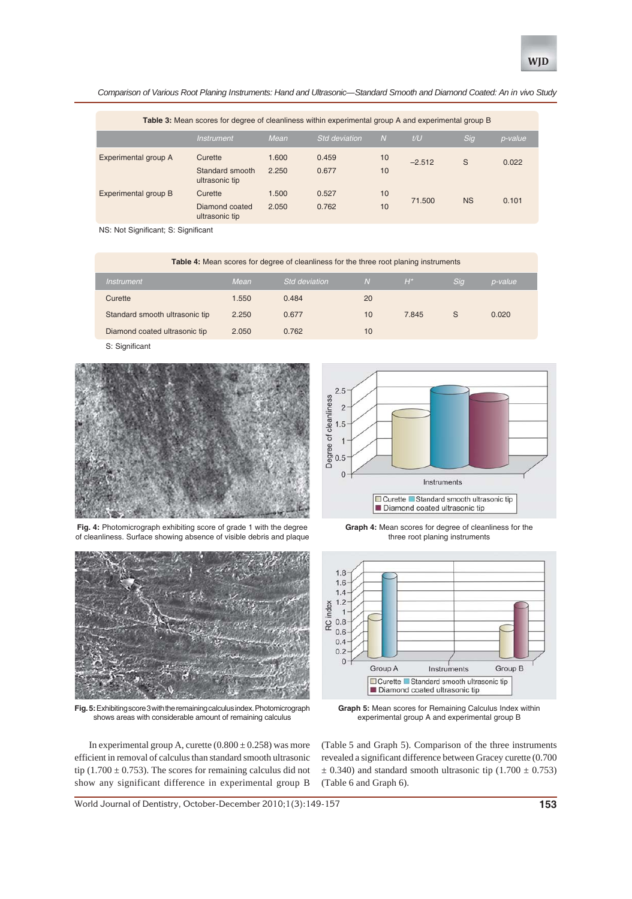

| Table 3: Mean scores for degree of cleanliness within experimental group A and experimental group B |                                              |                |                      |          |                |           |         |  |
|-----------------------------------------------------------------------------------------------------|----------------------------------------------|----------------|----------------------|----------|----------------|-----------|---------|--|
|                                                                                                     | <b>Instrument</b>                            | Mean           | <b>Std deviation</b> | IN.      | $t/\mathsf{U}$ | Sig       | p-value |  |
| Experimental group A                                                                                | Curette<br>Standard smooth<br>ultrasonic tip | 1.600<br>2.250 | 0.459<br>0.677       | 10<br>10 | $-2.512$       | S         | 0.022   |  |
| Experimental group B                                                                                | Curette<br>Diamond coated<br>ultrasonic tip  | 1.500<br>2.050 | 0.527<br>0.762       | 10<br>10 | 71.500         | <b>NS</b> | 0.101   |  |

NS: Not Significant; S: Significant

| <b>Table 4:</b> Mean scores for degree of cleanliness for the three root planing instruments |       |                      |    |       |     |         |  |  |
|----------------------------------------------------------------------------------------------|-------|----------------------|----|-------|-----|---------|--|--|
| <b>Instrument</b>                                                                            | Mean  | <b>Std deviation</b> | N. | $H^*$ | Sig | p-value |  |  |
| Curette                                                                                      | 1.550 | 0.484                | 20 |       |     |         |  |  |
| Standard smooth ultrasonic tip                                                               | 2.250 | 0.677                | 10 | 7.845 | S   | 0.020   |  |  |
| Diamond coated ultrasonic tip                                                                | 2.050 | 0.762                | 10 |       |     |         |  |  |

S: Significant



**Fig. 4:** Photomicrograph exhibiting score of grade 1 with the degree of cleanliness. Surface showing absence of visible debris and plaque



**Fig. 5:** Exhibiting score 3 with the remaining calculus index. Photomicrograph shows areas with considerable amount of remaining calculus

In experimental group A, curette  $(0.800 \pm 0.258)$  was more efficient in removal of calculus than standard smooth ultrasonic tip (1.700  $\pm$  0.753). The scores for remaining calculus did not show any significant difference in experimental group B

 $2.5$ Degree of cleanliness<br> $\frac{1}{10}$  a  $\frac{1}{10}$  b  $\frac{1}{10}$  $\overline{0}$ Instruments  $\Box$  Curette  $\Box$  Standard smooth ultrasonic tip Diamond coated ultrasonic tip





**Graph 5:** Mean scores for Remaining Calculus Index within experimental group A and experimental group B

(Table 5 and Graph 5). Comparison of the three instruments revealed a significant difference between Gracey curette (0.700  $\pm$  0.340) and standard smooth ultrasonic tip (1.700  $\pm$  0.753) (Table 6 and Graph 6).

World Journal of Dentistry, October-December 2010;1(3):149-157 **153**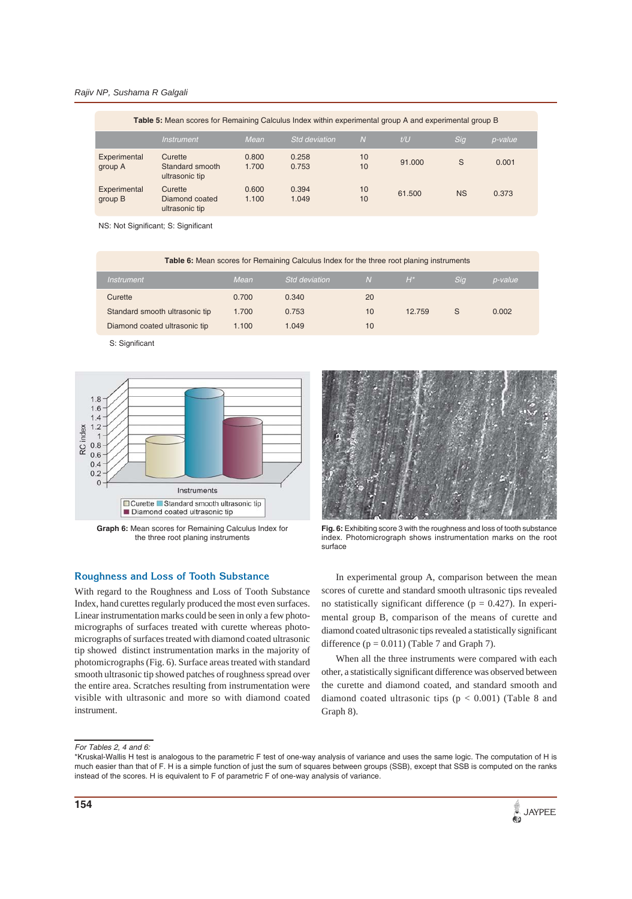#### *Rajiv NP, Sushama R Galgali*

| Table 5: Mean scores for Remaining Calculus Index within experimental group A and experimental group B |                                              |                |                      |                |        |           |         |  |
|--------------------------------------------------------------------------------------------------------|----------------------------------------------|----------------|----------------------|----------------|--------|-----------|---------|--|
|                                                                                                        | <b>Instrument</b>                            | Mean           | <b>Std deviation</b> | $\overline{N}$ | t/U    | Sig       | p-value |  |
| Experimental<br>group A                                                                                | Curette<br>Standard smooth<br>ultrasonic tip | 0.800<br>1.700 | 0.258<br>0.753       | 10<br>10       | 91.000 | S         | 0.001   |  |
| Experimental<br>group B                                                                                | Curette<br>Diamond coated<br>ultrasonic tip  | 0.600<br>1.100 | 0.394<br>1.049       | 10<br>10       | 61,500 | <b>NS</b> | 0.373   |  |

NS: Not Significant; S: Significant

| Table 6: Mean scores for Remaining Calculus Index for the three root planing instruments |       |                      |     |        |            |                |  |  |
|------------------------------------------------------------------------------------------|-------|----------------------|-----|--------|------------|----------------|--|--|
| Instrument                                                                               | Mean  | <b>Std deviation</b> | IN. | 'H*i   | <b>Sig</b> | <i>p-value</i> |  |  |
| Curette                                                                                  | 0.700 | 0.340                | 20  |        |            |                |  |  |
| Standard smooth ultrasonic tip                                                           | 1.700 | 0.753                | 10  | 12.759 | S          | 0.002          |  |  |
| Diamond coated ultrasonic tip                                                            | 1.100 | 1.049                | 10  |        |            |                |  |  |

S: Significant



**Graph 6:** Mean scores for Remaining Calculus Index for the three root planing instruments

## **Roughness and Loss of Tooth Substance**

With regard to the Roughness and Loss of Tooth Substance Index, hand curettes regularly produced the most even surfaces. Linear instrumentation marks could be seen in only a few photomicrographs of surfaces treated with curette whereas photomicrographs of surfaces treated with diamond coated ultrasonic tip showed distinct instrumentation marks in the majority of photomicrographs (Fig. 6). Surface areas treated with standard smooth ultrasonic tip showed patches of roughness spread over the entire area. Scratches resulting from instrumentation were visible with ultrasonic and more so with diamond coated instrument.

**Fig. 6:** Exhibiting score 3 with the roughness and loss of tooth substance index. Photomicrograph shows instrumentation marks on the root surface

In experimental group A, comparison between the mean scores of curette and standard smooth ultrasonic tips revealed no statistically significant difference ( $p = 0.427$ ). In experimental group B, comparison of the means of curette and diamond coated ultrasonic tips revealed a statistically significant difference  $(p = 0.011)$  (Table 7 and Graph 7).

When all the three instruments were compared with each other, a statistically significant difference was observed between the curette and diamond coated, and standard smooth and diamond coated ultrasonic tips  $(p < 0.001)$  (Table 8 and Graph 8).

#### *For Tables 2, 4 and 6:*

<sup>\*</sup>Kruskal-Wallis H test is analogous to the parametric F test of one-way analysis of variance and uses the same logic. The computation of H is much easier than that of F. H is a simple function of just the sum of squares between groups (SSB), except that SSB is computed on the ranks instead of the scores. H is equivalent to F of parametric F of one-way analysis of variance.

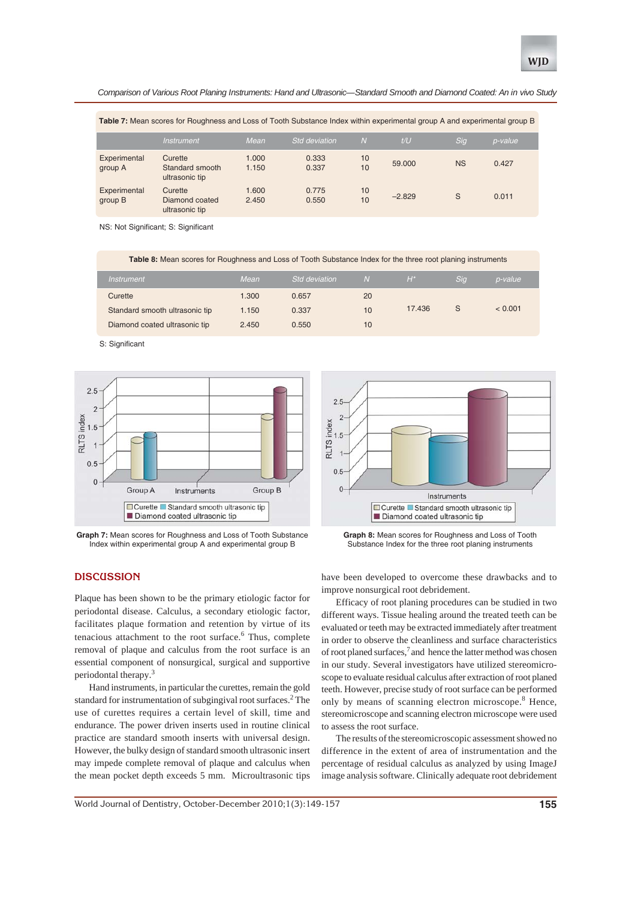**Table 7:** Mean scores for Roughness and Loss of Tooth Substance Index within experimental group A and experimental group B

|                         | <i><b>Instrument</b></i>                     | Mean           | <b>Std deviation</b> | $\overline{N}$ | t/U      | Sig       | p-value |
|-------------------------|----------------------------------------------|----------------|----------------------|----------------|----------|-----------|---------|
| Experimental<br>group A | Curette<br>Standard smooth<br>ultrasonic tip | 1.000<br>1.150 | 0.333<br>0.337       | 10<br>10       | 59,000   | <b>NS</b> | 0.427   |
| Experimental<br>group B | Curette<br>Diamond coated<br>ultrasonic tip  | 1.600<br>2.450 | 0.775<br>0.550       | 10<br>10       | $-2.829$ | S         | 0.011   |

NS: Not Significant; S: Significant

**Table 8:** Mean scores for Roughness and Loss of Tooth Substance Index for the three root planing instruments

| <i>Instrument</i>              | Mean  | <b>Std deviation</b> | <sub>N</sub> | $H^*$  | Sig | p-value |
|--------------------------------|-------|----------------------|--------------|--------|-----|---------|
| Curette                        | 1.300 | 0.657                | 20           |        |     |         |
| Standard smooth ultrasonic tip | 1.150 | 0.337                | 10           | 17.436 | S   | < 0.001 |
| Diamond coated ultrasonic tip  | 2.450 | 0.550                | 10           |        |     |         |

S: Significant



**Graph 7:** Mean scores for Roughness and Loss of Tooth Substance Index within experimental group A and experimental group B



**Graph 8:** Mean scores for Roughness and Loss of Tooth Substance Index for the three root planing instruments

# **DISCUSSION**

Plaque has been shown to be the primary etiologic factor for periodontal disease. Calculus, a secondary etiologic factor, facilitates plaque formation and retention by virtue of its tenacious attachment to the root surface.<sup>6</sup> Thus, complete removal of plaque and calculus from the root surface is an essential component of nonsurgical, surgical and supportive periodontal therapy.3

Hand instruments, in particular the curettes, remain the gold standard for instrumentation of subgingival root surfaces.<sup>2</sup> The use of curettes requires a certain level of skill, time and endurance. The power driven inserts used in routine clinical practice are standard smooth inserts with universal design. However, the bulky design of standard smooth ultrasonic insert may impede complete removal of plaque and calculus when the mean pocket depth exceeds 5 mm. Microultrasonic tips

have been developed to overcome these drawbacks and to improve nonsurgical root debridement.

Efficacy of root planing procedures can be studied in two different ways. Tissue healing around the treated teeth can be evaluated or teeth may be extracted immediately after treatment in order to observe the cleanliness and surface characteristics of root planed surfaces,<sup>7</sup> and hence the latter method was chosen in our study. Several investigators have utilized stereomicroscope to evaluate residual calculus after extraction of root planed teeth. However, precise study of root surface can be performed only by means of scanning electron microscope.<sup>8</sup> Hence, stereomicroscope and scanning electron microscope were used to assess the root surface.

The results of the stereomicroscopic assessment showed no difference in the extent of area of instrumentation and the percentage of residual calculus as analyzed by using ImageJ image analysis software. Clinically adequate root debridement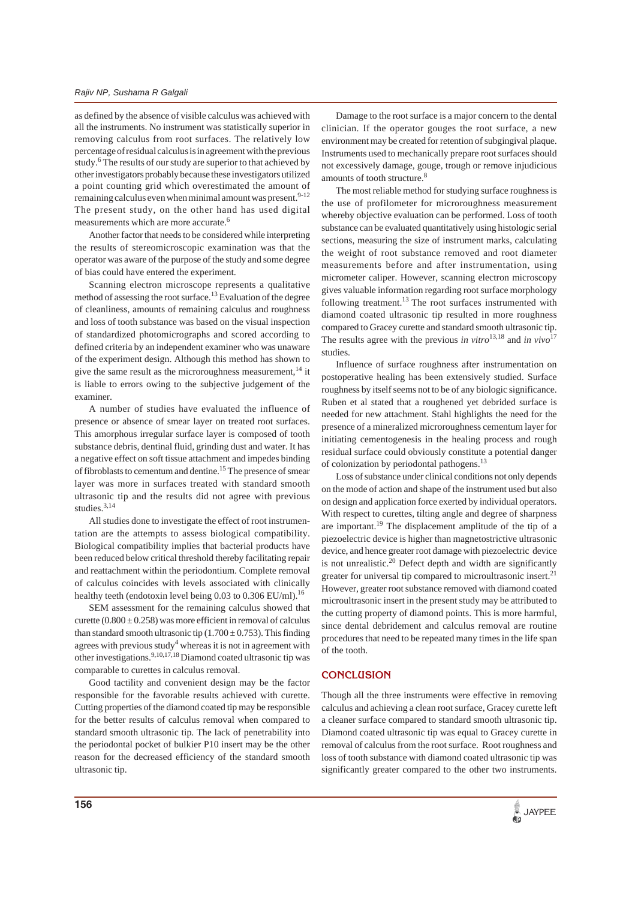as defined by the absence of visible calculus was achieved with all the instruments. No instrument was statistically superior in removing calculus from root surfaces. The relatively low percentage of residual calculus is in agreement with the previous study.<sup>6</sup> The results of our study are superior to that achieved by other investigators probably because these investigators utilized a point counting grid which overestimated the amount of remaining calculus even when minimal amount was present. $9-12$ The present study, on the other hand has used digital measurements which are more accurate.<sup>6</sup>

Another factor that needs to be considered while interpreting the results of stereomicroscopic examination was that the operator was aware of the purpose of the study and some degree of bias could have entered the experiment.

Scanning electron microscope represents a qualitative method of assessing the root surface.13 Evaluation of the degree of cleanliness, amounts of remaining calculus and roughness and loss of tooth substance was based on the visual inspection of standardized photomicrographs and scored according to defined criteria by an independent examiner who was unaware of the experiment design. Although this method has shown to give the same result as the microroughness measurement,  $^{14}$  it is liable to errors owing to the subjective judgement of the examiner.

A number of studies have evaluated the influence of presence or absence of smear layer on treated root surfaces. This amorphous irregular surface layer is composed of tooth substance debris, dentinal fluid, grinding dust and water. It has a negative effect on soft tissue attachment and impedes binding of fibroblasts to cementum and dentine.15 The presence of smear layer was more in surfaces treated with standard smooth ultrasonic tip and the results did not agree with previous studies.<sup>3,14</sup>

All studies done to investigate the effect of root instrumentation are the attempts to assess biological compatibility. Biological compatibility implies that bacterial products have been reduced below critical threshold thereby facilitating repair and reattachment within the periodontium. Complete removal of calculus coincides with levels associated with clinically healthy teeth (endotoxin level being 0.03 to 0.306 EU/ml).<sup>16</sup>

SEM assessment for the remaining calculus showed that curette  $(0.800 \pm 0.258)$  was more efficient in removal of calculus than standard smooth ultrasonic tip  $(1.700 \pm 0.753)$ . This finding agrees with previous study<sup>4</sup> whereas it is not in agreement with other investigations.<sup>9,10,17,18</sup> Diamond coated ultrasonic tip was comparable to curettes in calculus removal.

Good tactility and convenient design may be the factor responsible for the favorable results achieved with curette. Cutting properties of the diamond coated tip may be responsible for the better results of calculus removal when compared to standard smooth ultrasonic tip. The lack of penetrability into the periodontal pocket of bulkier P10 insert may be the other reason for the decreased efficiency of the standard smooth ultrasonic tip.

Damage to the root surface is a major concern to the dental clinician. If the operator gouges the root surface, a new environment may be created for retention of subgingival plaque. Instruments used to mechanically prepare root surfaces should not excessively damage, gouge, trough or remove injudicious amounts of tooth structure.<sup>8</sup>

The most reliable method for studying surface roughness is the use of profilometer for microroughness measurement whereby objective evaluation can be performed. Loss of tooth substance can be evaluated quantitatively using histologic serial sections, measuring the size of instrument marks, calculating the weight of root substance removed and root diameter measurements before and after instrumentation, using micrometer caliper. However, scanning electron microscopy gives valuable information regarding root surface morphology following treatment.<sup>13</sup> The root surfaces instrumented with diamond coated ultrasonic tip resulted in more roughness compared to Gracey curette and standard smooth ultrasonic tip. The results agree with the previous *in vitro*<sup>13,18</sup> and *in vivo*<sup>17</sup> studies.

Influence of surface roughness after instrumentation on postoperative healing has been extensively studied. Surface roughness by itself seems not to be of any biologic significance. Ruben et al stated that a roughened yet debrided surface is needed for new attachment. Stahl highlights the need for the presence of a mineralized microroughness cementum layer for initiating cementogenesis in the healing process and rough residual surface could obviously constitute a potential danger of colonization by periodontal pathogens.13

Loss of substance under clinical conditions not only depends on the mode of action and shape of the instrument used but also on design and application force exerted by individual operators. With respect to curettes, tilting angle and degree of sharpness are important.19 The displacement amplitude of the tip of a piezoelectric device is higher than magnetostrictive ultrasonic device, and hence greater root damage with piezoelectric device is not unrealistic.20 Defect depth and width are significantly greater for universal tip compared to microultrasonic insert.<sup>21</sup> However, greater root substance removed with diamond coated microultrasonic insert in the present study may be attributed to the cutting property of diamond points. This is more harmful, since dental debridement and calculus removal are routine procedures that need to be repeated many times in the life span of the tooth.

#### **CONCLUSION**

Though all the three instruments were effective in removing calculus and achieving a clean root surface, Gracey curette left a cleaner surface compared to standard smooth ultrasonic tip. Diamond coated ultrasonic tip was equal to Gracey curette in removal of calculus from the root surface. Root roughness and loss of tooth substance with diamond coated ultrasonic tip was significantly greater compared to the other two instruments.